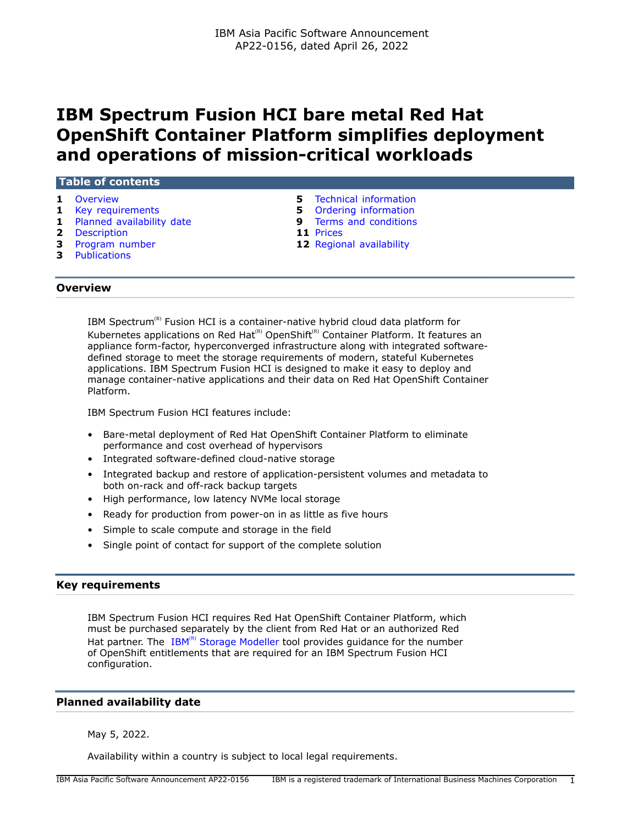# **IBM Spectrum Fusion HCI bare metal Red Hat OpenShift Container Platform simplifies deployment and operations of mission-critical workloads**

| Table of contents           |                                |  |  |
|-----------------------------|--------------------------------|--|--|
| <b>1</b> Overview           | <b>5</b> Technical information |  |  |
| 1 Key requirements          | 5 Ordering information         |  |  |
| 1 Planned availability date | Terms and conditions<br>9.     |  |  |
| 2 Description               | 11 Prices                      |  |  |
| 3 Program number            | 12 Regional availability       |  |  |
| <b>3</b> Publications       |                                |  |  |

# <span id="page-0-0"></span>**Overview**

IBM Spectrum ${}^{\textrm{\tiny(R)}}$  Fusion HCI is a container-native hybrid cloud data platform for Kubernetes applications on Red Hat<sup>(R)</sup> OpenShift<sup>(R)</sup> Container Platform. It features an appliance form-factor, hyperconverged infrastructure along with integrated softwaredefined storage to meet the storage requirements of modern, stateful Kubernetes applications. IBM Spectrum Fusion HCI is designed to make it easy to deploy and manage container-native applications and their data on Red Hat OpenShift Container Platform.

IBM Spectrum Fusion HCI features include:

- Bare-metal deployment of Red Hat OpenShift Container Platform to eliminate performance and cost overhead of hypervisors
- Integrated software-defined cloud-native storage
- Integrated backup and restore of application-persistent volumes and metadata to both on-rack and off-rack backup targets
- High performance, low latency NVMe local storage
- Ready for production from power-on in as little as five hours
- Simple to scale compute and storage in the field
- Single point of contact for support of the complete solution

## <span id="page-0-1"></span>**Key requirements**

IBM Spectrum Fusion HCI requires Red Hat OpenShift Container Platform, which must be purchased separately by the client from Red Hat or an authorized Red Hat partner. The  $IBM^{(R)}$  [Storage Modeller](https://www.ibm.com/tools/storage-modeller) tool provides guidance for the number of OpenShift entitlements that are required for an IBM Spectrum Fusion HCI configuration.

## <span id="page-0-2"></span>**Planned availability date**

May 5, 2022.

Availability within a country is subject to local legal requirements.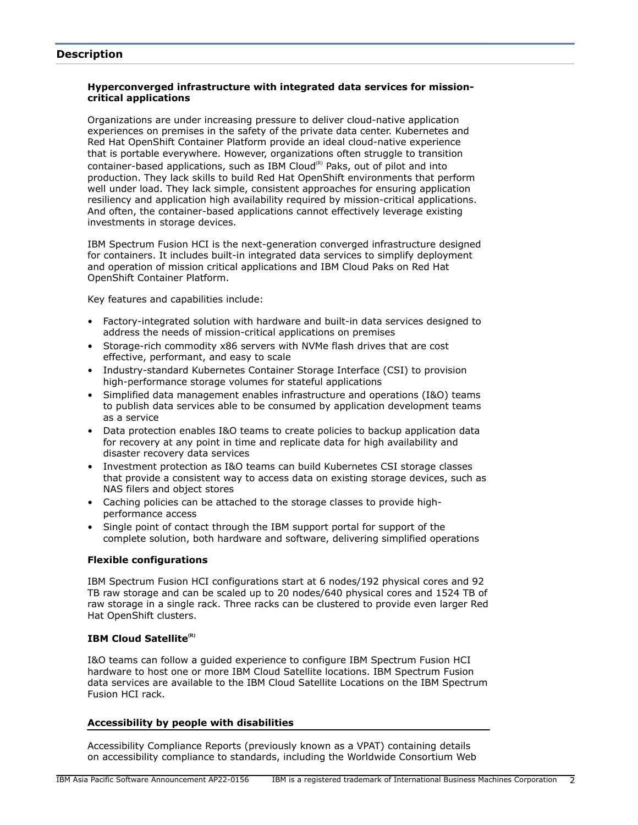# <span id="page-1-0"></span>**Description**

## **Hyperconverged infrastructure with integrated data services for missioncritical applications**

Organizations are under increasing pressure to deliver cloud-native application experiences on premises in the safety of the private data center. Kubernetes and Red Hat OpenShift Container Platform provide an ideal cloud-native experience that is portable everywhere. However, organizations often struggle to transition container-based applications, such as IBM Cloud $^{(R)}$  Paks, out of pilot and into production. They lack skills to build Red Hat OpenShift environments that perform well under load. They lack simple, consistent approaches for ensuring application resiliency and application high availability required by mission-critical applications. And often, the container-based applications cannot effectively leverage existing investments in storage devices.

IBM Spectrum Fusion HCI is the next-generation converged infrastructure designed for containers. It includes built-in integrated data services to simplify deployment and operation of mission critical applications and IBM Cloud Paks on Red Hat OpenShift Container Platform.

Key features and capabilities include:

- Factory-integrated solution with hardware and built-in data services designed to address the needs of mission-critical applications on premises
- Storage-rich commodity x86 servers with NVMe flash drives that are cost effective, performant, and easy to scale
- Industry-standard Kubernetes Container Storage Interface (CSI) to provision high-performance storage volumes for stateful applications
- Simplified data management enables infrastructure and operations (I&O) teams to publish data services able to be consumed by application development teams as a service
- Data protection enables I&O teams to create policies to backup application data for recovery at any point in time and replicate data for high availability and disaster recovery data services
- Investment protection as I&O teams can build Kubernetes CSI storage classes that provide a consistent way to access data on existing storage devices, such as NAS filers and object stores
- Caching policies can be attached to the storage classes to provide highperformance access
- Single point of contact through the IBM support portal for support of the complete solution, both hardware and software, delivering simplified operations

# **Flexible configurations**

IBM Spectrum Fusion HCI configurations start at 6 nodes/192 physical cores and 92 TB raw storage and can be scaled up to 20 nodes/640 physical cores and 1524 TB of raw storage in a single rack. Three racks can be clustered to provide even larger Red Hat OpenShift clusters.

# **IBM Cloud Satellite(R)**

I&O teams can follow a guided experience to configure IBM Spectrum Fusion HCI hardware to host one or more IBM Cloud Satellite locations. IBM Spectrum Fusion data services are available to the IBM Cloud Satellite Locations on the IBM Spectrum Fusion HCI rack.

## **Accessibility by people with disabilities**

Accessibility Compliance Reports (previously known as a VPAT) containing details on accessibility compliance to standards, including the Worldwide Consortium Web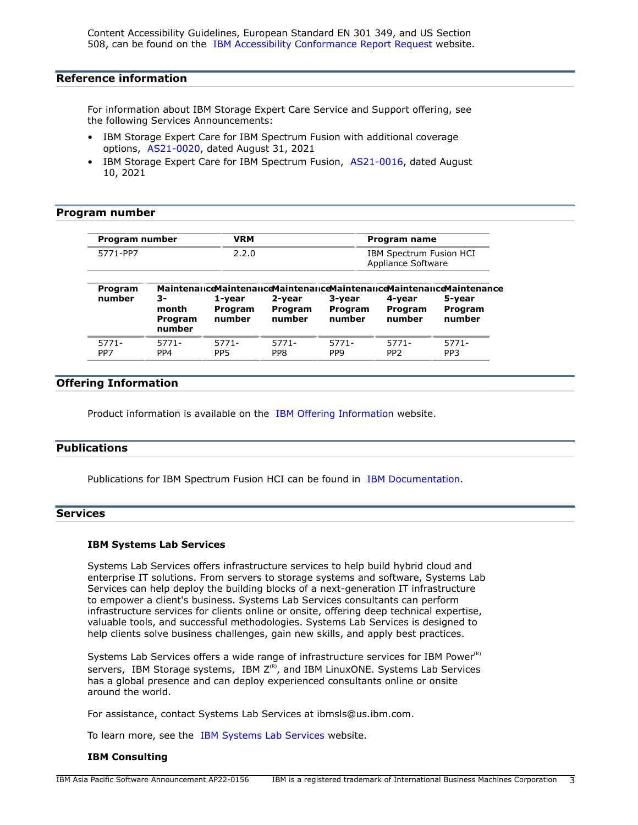Content Accessibility Guidelines, European Standard EN 301 349, and US Section 508, can be found on the [IBM Accessibility Conformance Report Request](https://www.ibm.com/able/product_accessibility/) website.

## **Reference information**

For information about IBM Storage Expert Care Service and Support offering, see the following Services Announcements:

- IBM Storage Expert Care for IBM Spectrum Fusion with additional coverage options, [AS21-0020](http://www.ibm.com/common/ssi/cgi-bin/ssialias?infotype=an&subtype=ca&appname=gpateam&supplier=872&letternum=ENUSAS21-0020), dated August 31, 2021
- IBM Storage Expert Care for IBM Spectrum Fusion, [AS21-0016,](http://www.ibm.com/common/ssi/cgi-bin/ssialias?infotype=an&subtype=ca&appname=gpateam&supplier=872&letternum=ENUSAS21-0016) dated August 10, 2021

## <span id="page-2-0"></span>**Program number**

| Program number | VRM   | Program name                                  |
|----------------|-------|-----------------------------------------------|
| 5771-PP7       | 2.2.0 | IBM Spectrum Fusion HCI<br>Appliance Software |

| Program<br>number | 3-<br>month<br>Program<br>number | 1-vear<br>Program<br>number | 2-vear<br>Program<br>number | 3-vear<br>Program<br>number | 4-vear<br>Program<br>number | Maintenance Maintenance Maintenance Maintenance Maintenance Maintenance<br>5-year<br>Program<br>number |
|-------------------|----------------------------------|-----------------------------|-----------------------------|-----------------------------|-----------------------------|--------------------------------------------------------------------------------------------------------|
| $5771 -$          | $5771 -$                         | $5771 -$                    | 5771-                       | 5771-                       | 5771-                       | $5771 -$                                                                                               |
| PP7               | PP4                              | PP <sub>5</sub>             | PP <sub>8</sub>             | PP <sub>9</sub>             | PP <sub>2</sub>             | PP <sub>3</sub>                                                                                        |

## **Offering Information**

Product information is available on the [IBM Offering Information](http://www.ibm.com/common/ssi) website.

## <span id="page-2-1"></span>**Publications**

Publications for IBM Spectrum Fusion HCI can be found in [IBM Documentation.](https://www.ibm.com/docs/spectrum-fusion/2.1)

#### **Services**

#### **IBM Systems Lab Services**

Systems Lab Services offers infrastructure services to help build hybrid cloud and enterprise IT solutions. From servers to storage systems and software, Systems Lab Services can help deploy the building blocks of a next-generation IT infrastructure to empower a client's business. Systems Lab Services consultants can perform infrastructure services for clients online or onsite, offering deep technical expertise, valuable tools, and successful methodologies. Systems Lab Services is designed to help clients solve business challenges, gain new skills, and apply best practices.

Systems Lab Services offers a wide range of infrastructure services for IBM Power $(R)$ servers, IBM Storage systems, IBM  $Z^{(R)}$ , and IBM LinuxONE. Systems Lab Services has a global presence and can deploy experienced consultants online or onsite around the world.

For assistance, contact Systems Lab Services at ibmsls@us.ibm.com.

To learn more, see the [IBM Systems Lab Services](https://www.ibm.com/it-infrastructure/services/lab-services) website.

#### **IBM Consulting**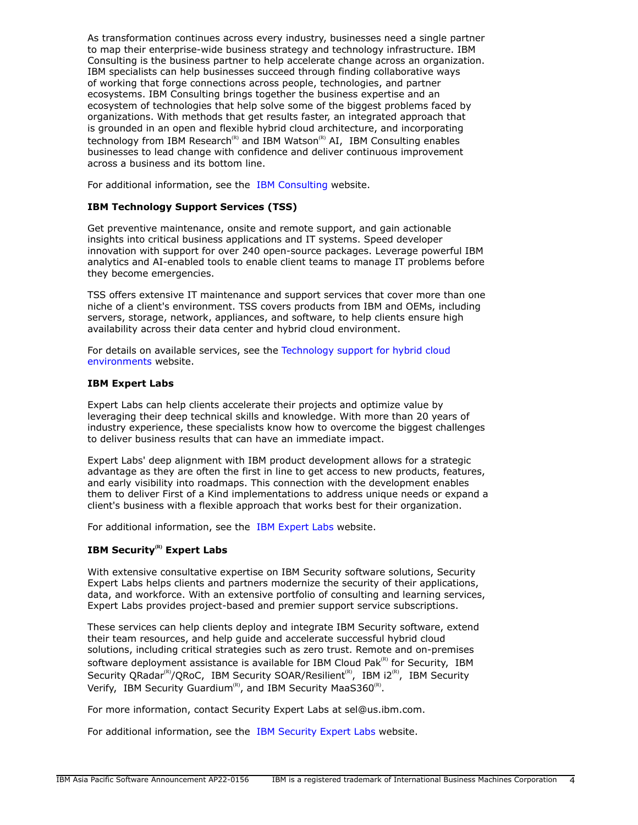As transformation continues across every industry, businesses need a single partner to map their enterprise-wide business strategy and technology infrastructure. IBM Consulting is the business partner to help accelerate change across an organization. IBM specialists can help businesses succeed through finding collaborative ways of working that forge connections across people, technologies, and partner ecosystems. IBM Consulting brings together the business expertise and an ecosystem of technologies that help solve some of the biggest problems faced by organizations. With methods that get results faster, an integrated approach that is grounded in an open and flexible hybrid cloud architecture, and incorporating technology from IBM Research<sup>(R)</sup> and IBM Watson<sup>(R)</sup> AI, IBM Consulting enables businesses to lead change with confidence and deliver continuous improvement across a business and its bottom line.

For additional information, see the [IBM Consulting](https://www.ibm.com/consulting) website.

# **IBM Technology Support Services (TSS)**

Get preventive maintenance, onsite and remote support, and gain actionable insights into critical business applications and IT systems. Speed developer innovation with support for over 240 open-source packages. Leverage powerful IBM analytics and AI-enabled tools to enable client teams to manage IT problems before they become emergencies.

TSS offers extensive IT maintenance and support services that cover more than one niche of a client's environment. TSS covers products from IBM and OEMs, including servers, storage, network, appliances, and software, to help clients ensure high availability across their data center and hybrid cloud environment.

For details on available services, see the [Technology support for hybrid cloud](https://www.ibm.com/services/technology-support) [environments](https://www.ibm.com/services/technology-support) website.

## **IBM Expert Labs**

Expert Labs can help clients accelerate their projects and optimize value by leveraging their deep technical skills and knowledge. With more than 20 years of industry experience, these specialists know how to overcome the biggest challenges to deliver business results that can have an immediate impact.

Expert Labs' deep alignment with IBM product development allows for a strategic advantage as they are often the first in line to get access to new products, features, and early visibility into roadmaps. This connection with the development enables them to deliver First of a Kind implementations to address unique needs or expand a client's business with a flexible approach that works best for their organization.

For additional information, see the [IBM Expert Labs](https://www.ibm.com/products/expertlabs) website.

# **IBM Security(R) Expert Labs**

With extensive consultative expertise on IBM Security software solutions, Security Expert Labs helps clients and partners modernize the security of their applications, data, and workforce. With an extensive portfolio of consulting and learning services, Expert Labs provides project-based and premier support service subscriptions.

These services can help clients deploy and integrate IBM Security software, extend their team resources, and help guide and accelerate successful hybrid cloud solutions, including critical strategies such as zero trust. Remote and on-premises software deployment assistance is available for IBM Cloud Pak $R<sup>(R)</sup>$  for Security, IBM Security QRadar<sup>(R)</sup>/QRoC, IBM Security SOAR/Resilient<sup>(R)</sup>, IBM i2<sup>(R)</sup>, IBM Security Verify, IBM Security Guardium<sup>(R)</sup>, and IBM Security MaaS360<sup>(R)</sup>.

For more information, contact Security Expert Labs at sel@us.ibm.com.

For additional information, see the [IBM Security Expert Labs](https://www.ibm.com/security/security-expert-labs) website.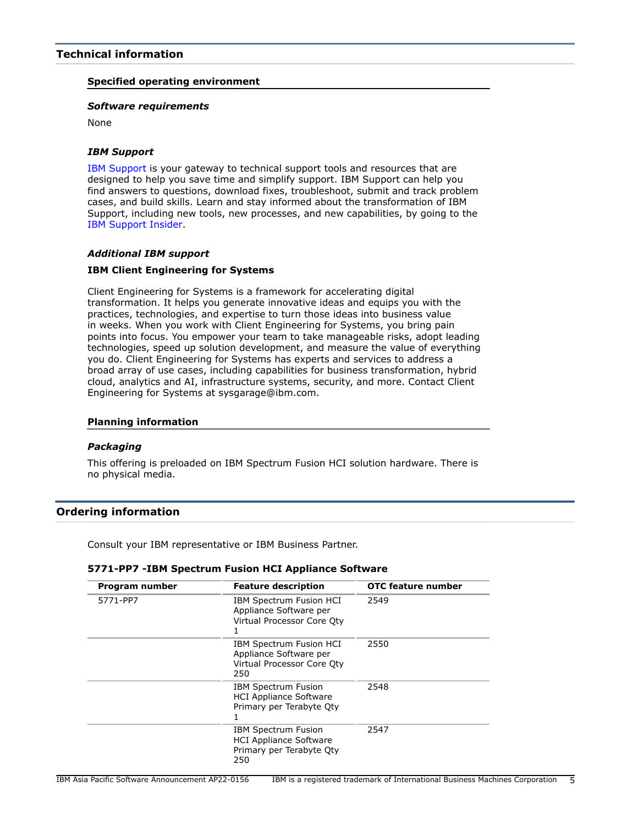## <span id="page-4-0"></span>**Specified operating environment**

## *Software requirements*

None

# *IBM Support*

[IBM Support](https://www.ibm.com/support) is your gateway to technical support tools and resources that are designed to help you save time and simplify support. IBM Support can help you find answers to questions, download fixes, troubleshoot, submit and track problem cases, and build skills. Learn and stay informed about the transformation of IBM Support, including new tools, new processes, and new capabilities, by going to the [IBM Support Insider](https://www.ibm.com/support/insider).

# *Additional IBM support*

# **IBM Client Engineering for Systems**

Client Engineering for Systems is a framework for accelerating digital transformation. It helps you generate innovative ideas and equips you with the practices, technologies, and expertise to turn those ideas into business value in weeks. When you work with Client Engineering for Systems, you bring pain points into focus. You empower your team to take manageable risks, adopt leading technologies, speed up solution development, and measure the value of everything you do. Client Engineering for Systems has experts and services to address a broad array of use cases, including capabilities for business transformation, hybrid cloud, analytics and AI, infrastructure systems, security, and more. Contact Client Engineering for Systems at sysgarage@ibm.com.

# **Planning information**

# *Packaging*

This offering is preloaded on IBM Spectrum Fusion HCI solution hardware. There is no physical media.

# <span id="page-4-1"></span>**Ordering information**

Consult your IBM representative or IBM Business Partner.

## **5771-PP7 -IBM Spectrum Fusion HCI Appliance Software**

| Program number | <b>Feature description</b>                                                                     | OTC feature number |
|----------------|------------------------------------------------------------------------------------------------|--------------------|
| 5771-PP7       | IBM Spectrum Fusion HCI<br>Appliance Software per<br>Virtual Processor Core Qty                | 2549               |
|                | IBM Spectrum Fusion HCI<br>Appliance Software per<br>Virtual Processor Core Oty<br>250         | 2550               |
|                | <b>IBM Spectrum Fusion</b><br><b>HCI Appliance Software</b><br>Primary per Terabyte Oty        | 2548               |
|                | <b>IBM Spectrum Fusion</b><br><b>HCI Appliance Software</b><br>Primary per Terabyte Oty<br>250 | 2547               |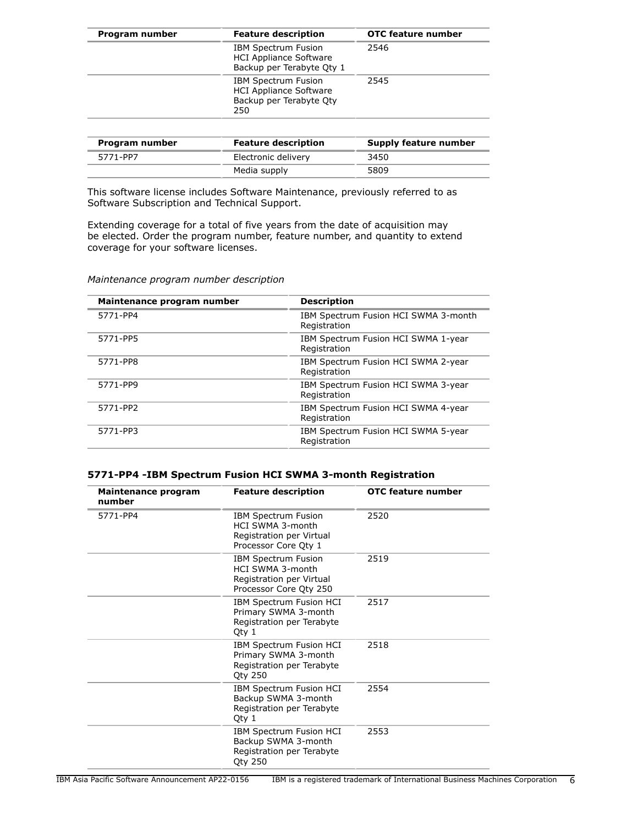| Program number | <b>Feature description</b>                                                                    | <b>OTC</b> feature number |
|----------------|-----------------------------------------------------------------------------------------------|---------------------------|
|                | <b>IBM Spectrum Fusion</b><br><b>HCI Appliance Software</b><br>Backup per Terabyte Qty 1      | 2546                      |
|                | <b>IBM Spectrum Fusion</b><br><b>HCI Appliance Software</b><br>Backup per Terabyte Oty<br>250 | 2545                      |

| Program number | <b>Feature description</b> | Supply feature number |
|----------------|----------------------------|-----------------------|
| 5771-PP7       | Electronic delivery        | 3450                  |
|                | Media supply               | 5809                  |

This software license includes Software Maintenance, previously referred to as Software Subscription and Technical Support.

Extending coverage for a total of five years from the date of acquisition may be elected. Order the program number, feature number, and quantity to extend coverage for your software licenses.

*Maintenance program number description*

| Maintenance program number | <b>Description</b>                                   |
|----------------------------|------------------------------------------------------|
| 5771-PP4                   | IBM Spectrum Fusion HCI SWMA 3-month<br>Registration |
| 5771-PP5                   | IBM Spectrum Fusion HCI SWMA 1-year<br>Registration  |
| 5771-PP8                   | IBM Spectrum Fusion HCI SWMA 2-year<br>Registration  |
| 5771-PP9                   | IBM Spectrum Fusion HCI SWMA 3-year<br>Registration  |
| 5771-PP2                   | IBM Spectrum Fusion HCI SWMA 4-year<br>Registration  |
| 5771-PP3                   | IBM Spectrum Fusion HCI SWMA 5-year<br>Registration  |

# **5771-PP4 -IBM Spectrum Fusion HCI SWMA 3-month Registration**

| Maintenance program<br>number | <b>Feature description</b>                                                                                | OTC feature number |
|-------------------------------|-----------------------------------------------------------------------------------------------------------|--------------------|
| 5771-PP4                      | <b>IBM Spectrum Fusion</b><br><b>HCI SWMA 3-month</b><br>Registration per Virtual<br>Processor Core Qty 1 | 2520               |
|                               | <b>IBM Spectrum Fusion</b><br>HCI SWMA 3-month<br>Registration per Virtual<br>Processor Core Qty 250      | 2519               |
|                               | IBM Spectrum Fusion HCI<br>Primary SWMA 3-month<br>Registration per Terabyte<br>Qty 1                     | 2517               |
|                               | IBM Spectrum Fusion HCI<br>Primary SWMA 3-month<br>Registration per Terabyte<br><b>Qty 250</b>            | 2518               |
|                               | IBM Spectrum Fusion HCI<br>Backup SWMA 3-month<br>Registration per Terabyte<br>Qty 1                      | 2554               |
|                               | IBM Spectrum Fusion HCI<br>Backup SWMA 3-month<br>Registration per Terabyte<br><b>Qty 250</b>             | 2553               |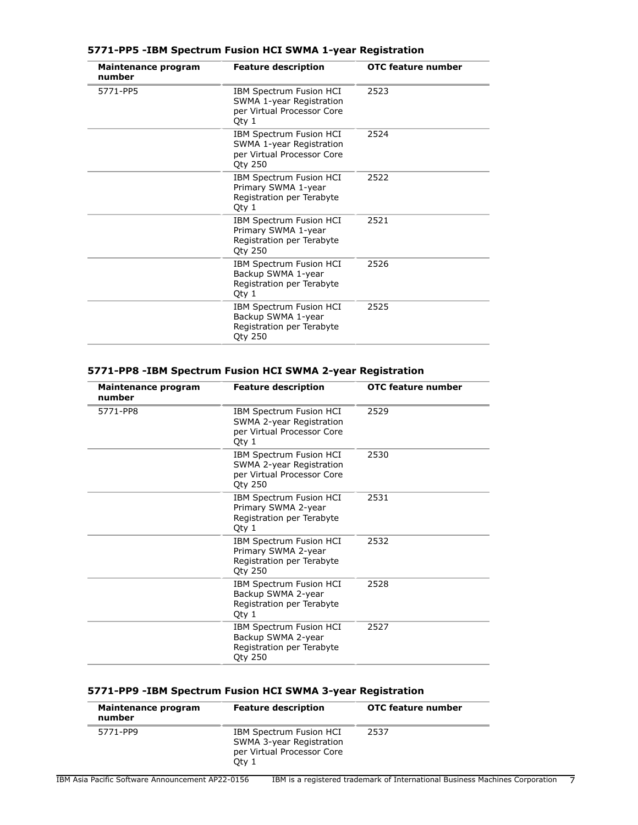# **5771-PP5 -IBM Spectrum Fusion HCI SWMA 1-year Registration**

| Maintenance program<br>number | <b>Feature description</b>                                                                          | OTC feature number |
|-------------------------------|-----------------------------------------------------------------------------------------------------|--------------------|
| 5771-PP5                      | IBM Spectrum Fusion HCI<br>SWMA 1-year Registration<br>per Virtual Processor Core<br>Qty 1          | 2523               |
|                               | IBM Spectrum Fusion HCI<br>SWMA 1-year Registration<br>per Virtual Processor Core<br><b>Qty 250</b> | 2524               |
|                               | IBM Spectrum Fusion HCI<br>Primary SWMA 1-year<br>Registration per Terabyte<br>Qty 1                | 2522               |
|                               | IBM Spectrum Fusion HCI<br>Primary SWMA 1-year<br>Registration per Terabyte<br>Oty 250              | 2521               |
|                               | IBM Spectrum Fusion HCI<br>Backup SWMA 1-year<br>Registration per Terabyte<br>Qty 1                 | 2526               |
|                               | IBM Spectrum Fusion HCI<br>Backup SWMA 1-year<br>Registration per Terabyte<br><b>Qty 250</b>        | 2525               |

# **5771-PP8 -IBM Spectrum Fusion HCI SWMA 2-year Registration**

| Maintenance program<br>number | <b>Feature description</b>                                                                          | OTC feature number |
|-------------------------------|-----------------------------------------------------------------------------------------------------|--------------------|
| 5771-PP8                      | IBM Spectrum Fusion HCI<br>SWMA 2-year Registration<br>per Virtual Processor Core<br>Qty 1          | 2529               |
|                               | IBM Spectrum Fusion HCI<br>SWMA 2-year Registration<br>per Virtual Processor Core<br><b>Qty 250</b> | 2530               |
|                               | IBM Spectrum Fusion HCI<br>Primary SWMA 2-year<br>Registration per Terabyte<br>Qty 1                | 2531               |
|                               | IBM Spectrum Fusion HCI<br>Primary SWMA 2-year<br>Registration per Terabyte<br><b>Qty 250</b>       | 2532               |
|                               | IBM Spectrum Fusion HCI<br>Backup SWMA 2-year<br>Registration per Terabyte<br>Qty 1                 | 2528               |
|                               | IBM Spectrum Fusion HCI<br>Backup SWMA 2-year<br>Registration per Terabyte<br><b>Qty 250</b>        | 2527               |

# **5771-PP9 -IBM Spectrum Fusion HCI SWMA 3-year Registration**

| Maintenance program<br>number | <b>Feature description</b>                                                                 | <b>OTC</b> feature number |
|-------------------------------|--------------------------------------------------------------------------------------------|---------------------------|
| 5771-PP9                      | IBM Spectrum Fusion HCI<br>SWMA 3-year Registration<br>per Virtual Processor Core<br>Oty 1 | 2537                      |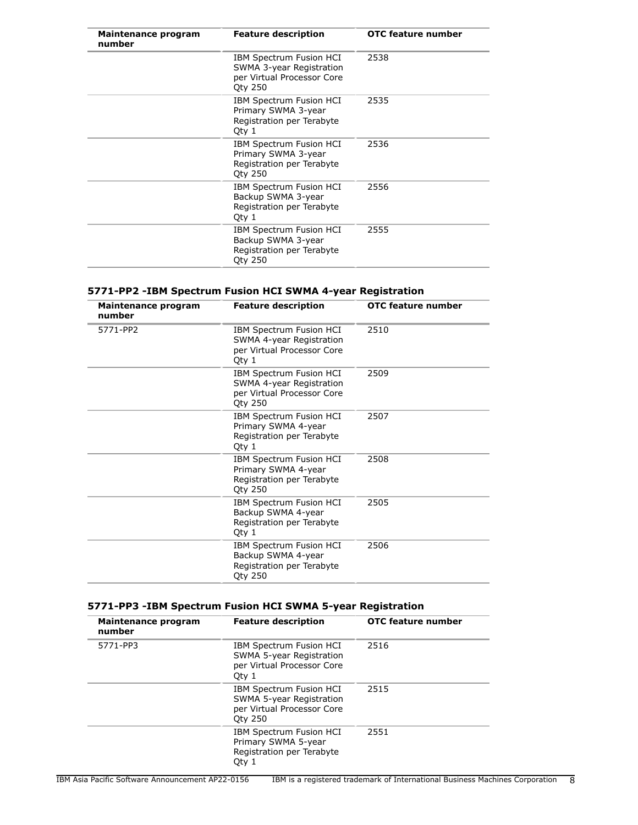| Maintenance program<br>number | <b>Feature description</b>                                                                          | <b>OTC</b> feature number |
|-------------------------------|-----------------------------------------------------------------------------------------------------|---------------------------|
|                               | IBM Spectrum Fusion HCI<br>SWMA 3-year Registration<br>per Virtual Processor Core<br><b>Qty 250</b> | 2538                      |
|                               | IBM Spectrum Fusion HCI<br>Primary SWMA 3-year<br>Registration per Terabyte<br>Qty 1                | 2535                      |
|                               | IBM Spectrum Fusion HCI<br>Primary SWMA 3-year<br>Registration per Terabyte<br><b>Oty 250</b>       | 2536                      |
|                               | IBM Spectrum Fusion HCI<br>Backup SWMA 3-year<br>Registration per Terabyte<br>Qty 1                 | 2556                      |
|                               | IBM Spectrum Fusion HCI<br>Backup SWMA 3-year<br>Registration per Terabyte<br><b>Qty 250</b>        | 2555                      |

# **5771-PP2 -IBM Spectrum Fusion HCI SWMA 4-year Registration**

| <b>Maintenance program</b><br>number | <b>Feature description</b>                                                                   | <b>OTC feature number</b> |
|--------------------------------------|----------------------------------------------------------------------------------------------|---------------------------|
| 5771-PP2                             | IBM Spectrum Fusion HCI<br>SWMA 4-year Registration<br>per Virtual Processor Core<br>Qty 1   | 2510                      |
|                                      | IBM Spectrum Fusion HCI<br>SWMA 4-year Registration<br>per Virtual Processor Core<br>Qty 250 | 2509                      |
|                                      | IBM Spectrum Fusion HCI<br>Primary SWMA 4-year<br>Registration per Terabyte<br>Qty 1         | 2507                      |
|                                      | IBM Spectrum Fusion HCI<br>Primary SWMA 4-year<br>Registration per Terabyte<br>Qty 250       | 2508                      |
|                                      | IBM Spectrum Fusion HCI<br>Backup SWMA 4-year<br>Registration per Terabyte<br>Qty 1          | 2505                      |
|                                      | IBM Spectrum Fusion HCI<br>Backup SWMA 4-year<br>Registration per Terabyte<br>Qty 250        | 2506                      |

# **5771-PP3 -IBM Spectrum Fusion HCI SWMA 5-year Registration**

| Maintenance program<br>number | <b>Feature description</b>                                                                                 | <b>OTC feature number</b> |
|-------------------------------|------------------------------------------------------------------------------------------------------------|---------------------------|
| 5771-PP3                      | IBM Spectrum Fusion HCI<br>SWMA 5-year Registration<br>per Virtual Processor Core<br>Oty 1                 | 2516                      |
|                               | <b>IBM Spectrum Fusion HCI</b><br>SWMA 5-year Registration<br>per Virtual Processor Core<br><b>Oty 250</b> | 2515                      |
|                               | <b>IBM Spectrum Fusion HCI</b><br>Primary SWMA 5-year<br>Registration per Terabyte<br>Oty 1                | 2551                      |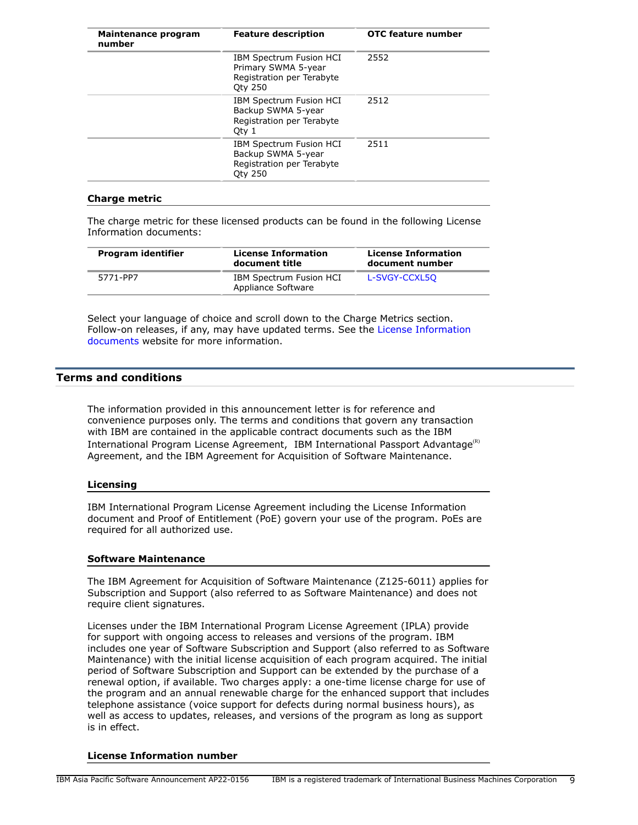| Maintenance program<br>number | <b>Feature description</b>                                                                           | <b>OTC feature number</b> |
|-------------------------------|------------------------------------------------------------------------------------------------------|---------------------------|
|                               | <b>IBM Spectrum Fusion HCI</b><br>Primary SWMA 5-year<br>Registration per Terabyte<br><b>Oty 250</b> | 2552                      |
|                               | IBM Spectrum Fusion HCI<br>Backup SWMA 5-year<br>Registration per Terabyte<br>Oty 1                  | 2512                      |
|                               | <b>IBM Spectrum Fusion HCI</b><br>Backup SWMA 5-year<br>Registration per Terabyte<br><b>Oty 250</b>  | 2511                      |

## **Charge metric**

The charge metric for these licensed products can be found in the following License Information documents:

| Program identifier | <b>License Information</b><br>document title  | <b>License Information</b><br>document number |
|--------------------|-----------------------------------------------|-----------------------------------------------|
| 5771-PP7           | IBM Spectrum Fusion HCI<br>Appliance Software | L-SVGY-CCXL50                                 |

Select your language of choice and scroll down to the Charge Metrics section. Follow-on releases, if any, may have updated terms. See the [License Information](https://www.ibm.com/software/sla/sladb.nsf/search?OpenForm) [documents](https://www.ibm.com/software/sla/sladb.nsf/search?OpenForm) website for more information.

# <span id="page-8-0"></span>**Terms and conditions**

The information provided in this announcement letter is for reference and convenience purposes only. The terms and conditions that govern any transaction with IBM are contained in the applicable contract documents such as the IBM International Program License Agreement, IBM International Passport Advantage $(R)$ Agreement, and the IBM Agreement for Acquisition of Software Maintenance.

## **Licensing**

IBM International Program License Agreement including the License Information document and Proof of Entitlement (PoE) govern your use of the program. PoEs are required for all authorized use.

## **Software Maintenance**

The IBM Agreement for Acquisition of Software Maintenance (Z125-6011) applies for Subscription and Support (also referred to as Software Maintenance) and does not require client signatures.

Licenses under the IBM International Program License Agreement (IPLA) provide for support with ongoing access to releases and versions of the program. IBM includes one year of Software Subscription and Support (also referred to as Software Maintenance) with the initial license acquisition of each program acquired. The initial period of Software Subscription and Support can be extended by the purchase of a renewal option, if available. Two charges apply: a one-time license charge for use of the program and an annual renewable charge for the enhanced support that includes telephone assistance (voice support for defects during normal business hours), as well as access to updates, releases, and versions of the program as long as support is in effect.

## **License Information number**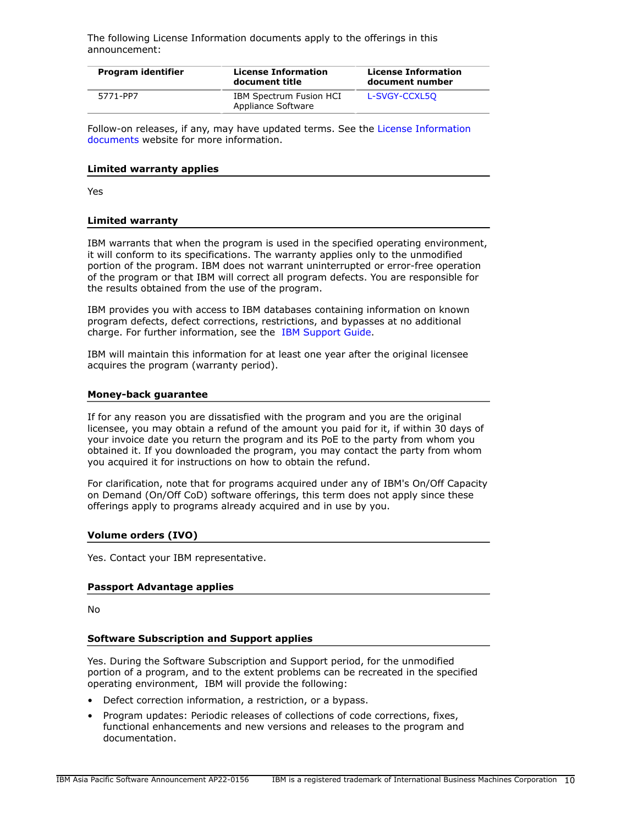The following License Information documents apply to the offerings in this announcement:

| Program identifier | <b>License Information</b><br>document title  | <b>License Information</b><br>document number |
|--------------------|-----------------------------------------------|-----------------------------------------------|
| 5771-PP7           | IBM Spectrum Fusion HCI<br>Appliance Software | L-SVGY-CCXL50                                 |

Follow-on releases, if any, may have updated terms. See the [License Information](https://www.ibm.com/software/sla/sladb.nsf/search?OpenForm) [documents](https://www.ibm.com/software/sla/sladb.nsf/search?OpenForm) website for more information.

#### **Limited warranty applies**

Yes

#### **Limited warranty**

IBM warrants that when the program is used in the specified operating environment, it will conform to its specifications. The warranty applies only to the unmodified portion of the program. IBM does not warrant uninterrupted or error-free operation of the program or that IBM will correct all program defects. You are responsible for the results obtained from the use of the program.

IBM provides you with access to IBM databases containing information on known program defects, defect corrections, restrictions, and bypasses at no additional charge. For further information, see the [IBM Support Guide](http://www.ibm.com/support/customercare/sas/f/handbook/home.html).

IBM will maintain this information for at least one year after the original licensee acquires the program (warranty period).

#### **Money-back guarantee**

If for any reason you are dissatisfied with the program and you are the original licensee, you may obtain a refund of the amount you paid for it, if within 30 days of your invoice date you return the program and its PoE to the party from whom you obtained it. If you downloaded the program, you may contact the party from whom you acquired it for instructions on how to obtain the refund.

For clarification, note that for programs acquired under any of IBM's On/Off Capacity on Demand (On/Off CoD) software offerings, this term does not apply since these offerings apply to programs already acquired and in use by you.

## **Volume orders (IVO)**

Yes. Contact your IBM representative.

## **Passport Advantage applies**

No

## **Software Subscription and Support applies**

Yes. During the Software Subscription and Support period, for the unmodified portion of a program, and to the extent problems can be recreated in the specified operating environment, IBM will provide the following:

- Defect correction information, a restriction, or a bypass.
- Program updates: Periodic releases of collections of code corrections, fixes, functional enhancements and new versions and releases to the program and documentation.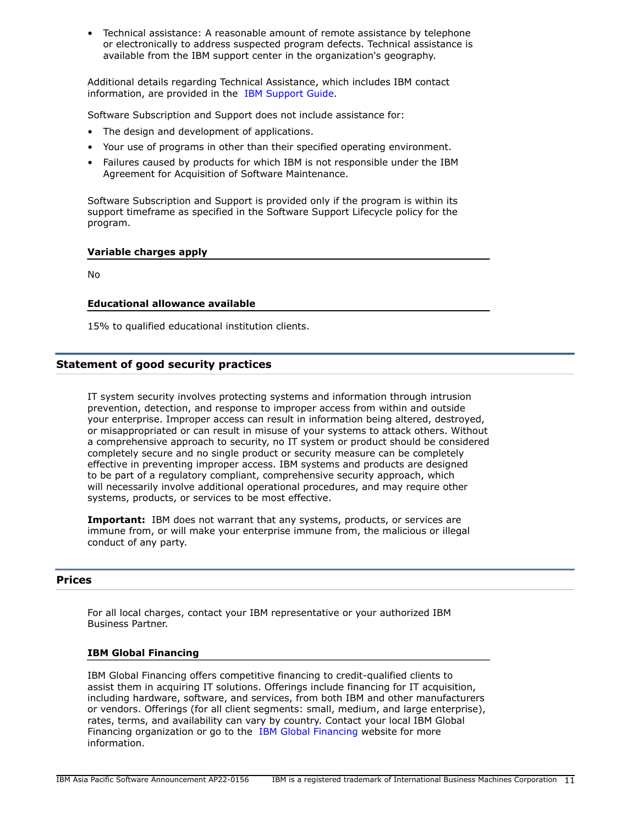• Technical assistance: A reasonable amount of remote assistance by telephone or electronically to address suspected program defects. Technical assistance is available from the IBM support center in the organization's geography.

Additional details regarding Technical Assistance, which includes IBM contact information, are provided in the [IBM Support Guide](http://www.ibm.com/support/customercare/sas/f/handbook/home.html).

Software Subscription and Support does not include assistance for:

- The design and development of applications.
- Your use of programs in other than their specified operating environment.
- Failures caused by products for which IBM is not responsible under the IBM Agreement for Acquisition of Software Maintenance.

Software Subscription and Support is provided only if the program is within its support timeframe as specified in the Software Support Lifecycle policy for the program.

## **Variable charges apply**

No

## **Educational allowance available**

15% to qualified educational institution clients.

# **Statement of good security practices**

IT system security involves protecting systems and information through intrusion prevention, detection, and response to improper access from within and outside your enterprise. Improper access can result in information being altered, destroyed, or misappropriated or can result in misuse of your systems to attack others. Without a comprehensive approach to security, no IT system or product should be considered completely secure and no single product or security measure can be completely effective in preventing improper access. IBM systems and products are designed to be part of a regulatory compliant, comprehensive security approach, which will necessarily involve additional operational procedures, and may require other systems, products, or services to be most effective.

**Important:** IBM does not warrant that any systems, products, or services are immune from, or will make your enterprise immune from, the malicious or illegal conduct of any party.

## <span id="page-10-0"></span>**Prices**

For all local charges, contact your IBM representative or your authorized IBM Business Partner.

## **IBM Global Financing**

IBM Global Financing offers competitive financing to credit-qualified clients to assist them in acquiring IT solutions. Offerings include financing for IT acquisition, including hardware, software, and services, from both IBM and other manufacturers or vendors. Offerings (for all client segments: small, medium, and large enterprise), rates, terms, and availability can vary by country. Contact your local IBM Global Financing organization or go to the [IBM Global Financing](http://www.ibm.com/financing) website for more information.